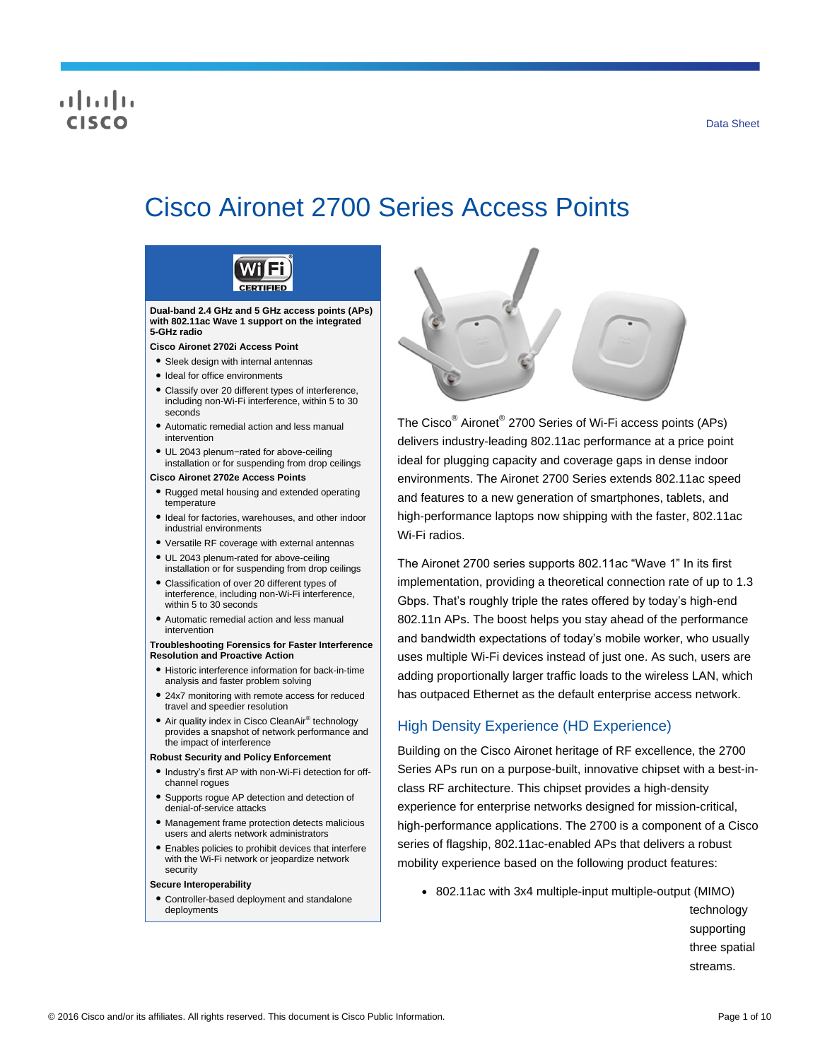# CISCO

# Cisco Aironet 2700 Series Access Points

**CERTIFIED Dual-band 2.4 GHz and 5 GHz access points (APs) with 802.11ac Wave 1 support on the integrated 5-GHz radio Cisco Aironet 2702i Access Point** ● Sleek design with internal antennas ● Ideal for office environments ● Classify over 20 different types of interference, including non-Wi-Fi interference, within 5 to 30 seconds ● Automatic remedial action and less manual intervention ● UL 2043 plenum−rated for above-ceiling installation or for suspending from drop ceilings **Cisco Aironet 2702e Access Points** ● Rugged metal housing and extended operating temperature ● Ideal for factories, warehouses, and other indoor industrial environments ● Versatile RF coverage with external antennas ● UL 2043 plenum-rated for above-ceiling installation or for suspending from drop ceilings ● Classification of over 20 different types of interference, including non-Wi-Fi interference, within 5 to 30 seconds ● Automatic remedial action and less manual intervention **Troubleshooting Forensics for Faster Interference Resolution and Proactive Action** ● Historic interference information for back-in-time analysis and faster problem solving ● 24x7 monitoring with remote access for reduced travel and speedier resolution ● Air quality index in Cisco CleanAir<sup>®</sup> technology provides a snapshot of network performance and the impact of interference **Robust Security and Policy Enforcement** ● Industry's first AP with non-Wi-Fi detection for offchannel rogues ● Supports rogue AP detection and detection of denial-of-service attacks ● Management frame protection detects malicious users and alerts network administrators ● Enables policies to prohibit devices that interfere

with the Wi-Fi network or jeopardize network security

#### **Secure Interoperability**

● Controller-based deployment and standalone deployments



The Cisco<sup>®</sup> Aironet<sup>®</sup> 2700 Series of Wi-Fi access points (APs) delivers industry-leading 802.11ac performance at a price point ideal for plugging capacity and coverage gaps in dense indoor environments. The Aironet 2700 Series extends 802.11ac speed and features to a new generation of smartphones, tablets, and high-performance laptops now shipping with the faster, 802.11ac Wi-Fi radios.

The Aironet 2700 series supports 802.11ac "Wave 1" In its first implementation, providing a theoretical connection rate of up to 1.3 Gbps. That's roughly triple the rates offered by today's high-end 802.11n APs. The boost helps you stay ahead of the performance and bandwidth expectations of today's mobile worker, who usually uses multiple Wi-Fi devices instead of just one. As such, users are adding proportionally larger traffic loads to the wireless LAN, which has outpaced Ethernet as the default enterprise access network.

# High Density Experience (HD Experience)

Building on the Cisco Aironet heritage of RF excellence, the 2700 Series APs run on a purpose-built, innovative chipset with a best-inclass RF architecture. This chipset provides a high-density experience for enterprise networks designed for mission-critical, high-performance applications. The 2700 is a component of a Cisco series of flagship, 802.11ac-enabled APs that delivers a robust mobility experience based on the following product features:

● 802.11ac with 3x4 multiple-input multiple-output (MIMO)

technology supporting three spatial streams.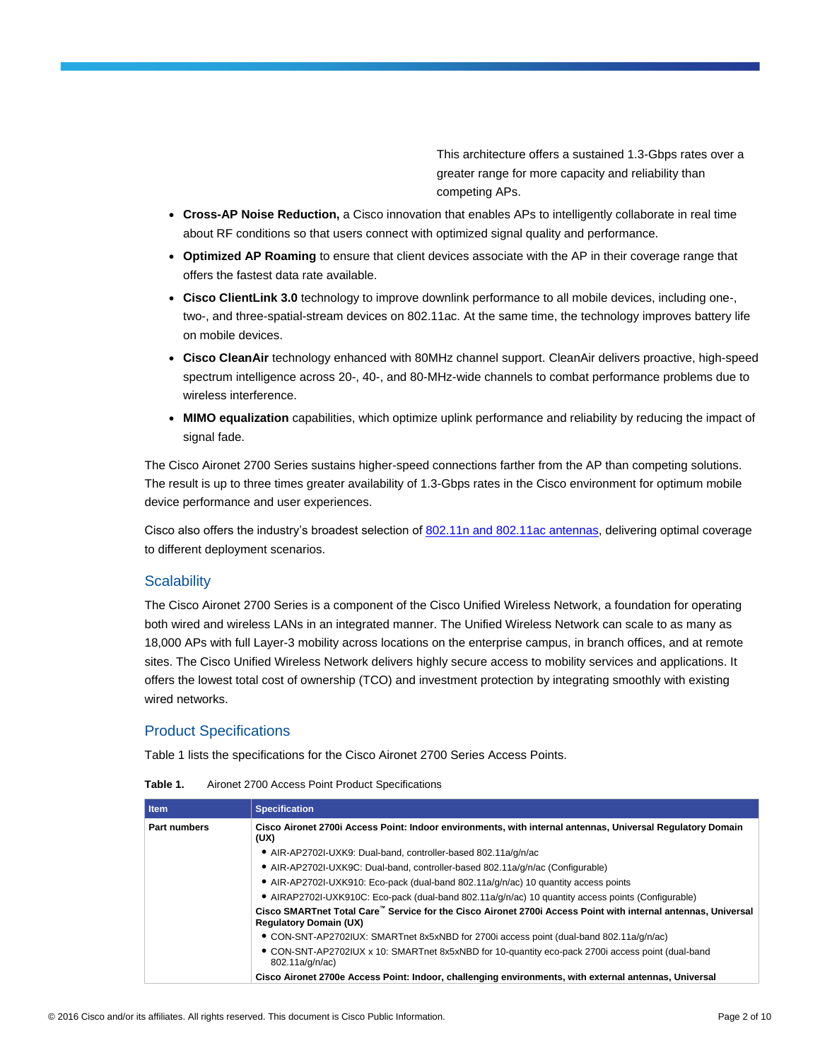This architecture offers a sustained 1.3-Gbps rates over a greater range for more capacity and reliability than competing APs.

- **Cross-AP Noise Reduction,** a Cisco innovation that enables APs to intelligently collaborate in real time about RF conditions so that users connect with optimized signal quality and performance.
- **Optimized AP Roaming** to ensure that client devices associate with the AP in their coverage range that offers the fastest data rate available.
- **Cisco ClientLink 3.0** technology to improve downlink performance to all mobile devices, including one-, two-, and three-spatial-stream devices on 802.11ac. At the same time, the technology improves battery life on mobile devices.
- **Cisco CleanAir** technology enhanced with 80MHz channel support. CleanAir delivers proactive, high-speed spectrum intelligence across 20-, 40-, and 80-MHz-wide channels to combat performance problems due to wireless interference.
- **MIMO equalization** capabilities, which optimize uplink performance and reliability by reducing the impact of signal fade.

The Cisco Aironet 2700 Series sustains higher-speed connections farther from the AP than competing solutions. The result is up to three times greater availability of 1.3-Gbps rates in the Cisco environment for optimum mobile device performance and user experiences.

Cisco also offers the industry's broadest selection of [802.11n and 802.11ac antennas,](http://www.cisco.com/en/US/prod/collateral/wireless/ps7183/ps469/at_a_glance_c45-513837.pdf) delivering optimal coverage to different deployment scenarios.

# **Scalability**

The Cisco Aironet 2700 Series is a component of the Cisco Unified Wireless Network, a foundation for operating both wired and wireless LANs in an integrated manner. The Unified Wireless Network can scale to as many as 18,000 APs with full Layer-3 mobility across locations on the enterprise campus, in branch offices, and at remote sites. The Cisco Unified Wireless Network delivers highly secure access to mobility services and applications. It offers the lowest total cost of ownership (TCO) and investment protection by integrating smoothly with existing wired networks.

# Product Specifications

Table 1 lists the specifications for the Cisco Aironet 2700 Series Access Points.

| Table 1. | Aironet 2700 Access Point Product Specifications |
|----------|--------------------------------------------------|
|----------|--------------------------------------------------|

| <b>Item</b>         | <b>Specification</b>                                                                                                                                       |
|---------------------|------------------------------------------------------------------------------------------------------------------------------------------------------------|
| <b>Part numbers</b> | Cisco Aironet 2700i Access Point: Indoor environments, with internal antennas, Universal Regulatory Domain<br>(UX)                                         |
|                     | • AIR-AP2702I-UXK9: Dual-band, controller-based 802.11a/g/n/ac                                                                                             |
|                     | • AIR-AP2702I-UXK9C: Dual-band, controller-based 802.11a/g/n/ac (Configurable)                                                                             |
|                     | • AIR-AP2702I-UXK910: Eco-pack (dual-band 802.11a/g/n/ac) 10 quantity access points                                                                        |
|                     | • AIRAP2702I-UXK910C: Eco-pack (dual-band 802.11a/g/n/ac) 10 quantity access points (Configurable)                                                         |
|                     | Cisco SMARTnet Total Care <sup>™</sup> Service for the Cisco Aironet 2700i Access Point with internal antennas, Universal<br><b>Regulatory Domain (UX)</b> |
|                     | • CON-SNT-AP2702IUX: SMARTnet 8x5xNBD for 2700i access point (dual-band 802.11a/q/n/ac)                                                                    |
|                     | • CON-SNT-AP2702IUX x 10: SMARTnet 8x5xNBD for 10-quantity eco-pack 2700i access point (dual-band<br>802.11a/g/n/ac)                                       |
|                     | Cisco Aironet 2700e Access Point: Indoor, challenging environments, with external antennas, Universal                                                      |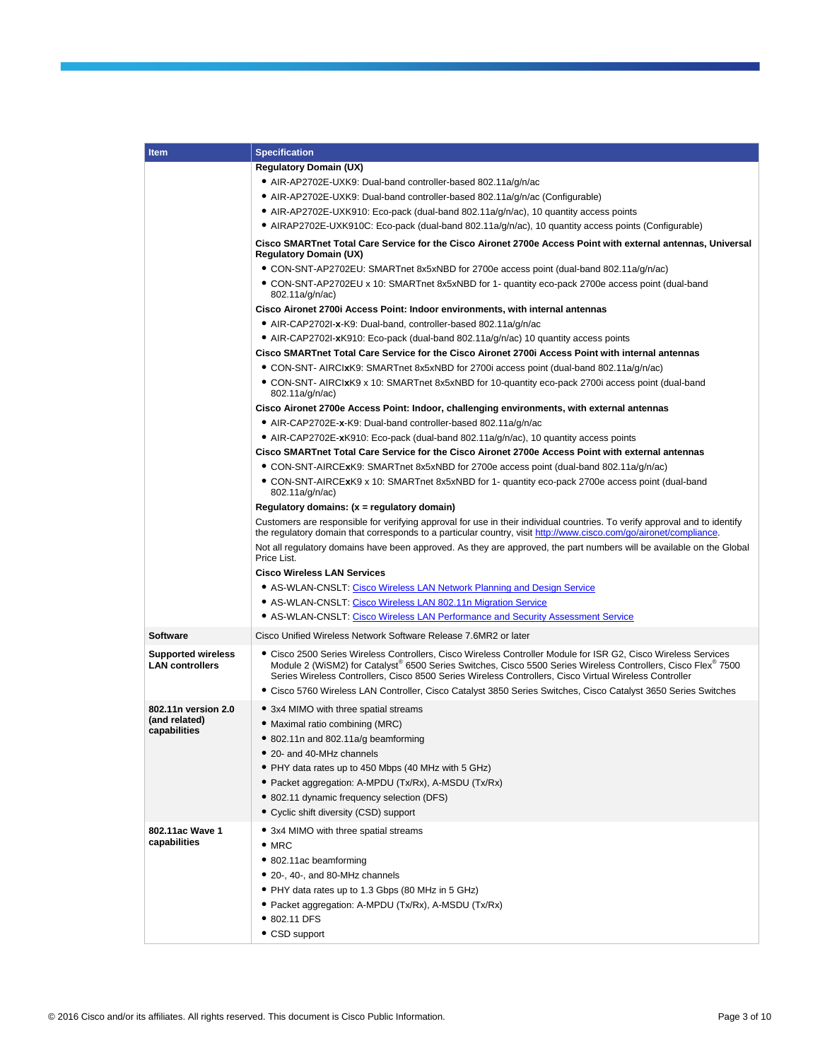| <b>Item</b>                                         | <b>Specification</b>                                                                                                                                                                                                                                                                                                                                                                                                                                        |  |  |  |  |  |
|-----------------------------------------------------|-------------------------------------------------------------------------------------------------------------------------------------------------------------------------------------------------------------------------------------------------------------------------------------------------------------------------------------------------------------------------------------------------------------------------------------------------------------|--|--|--|--|--|
|                                                     | <b>Regulatory Domain (UX)</b>                                                                                                                                                                                                                                                                                                                                                                                                                               |  |  |  |  |  |
|                                                     | • AIR-AP2702E-UXK9: Dual-band controller-based 802.11a/g/n/ac                                                                                                                                                                                                                                                                                                                                                                                               |  |  |  |  |  |
|                                                     | • AIR-AP2702E-UXK9: Dual-band controller-based 802.11a/g/n/ac (Configurable)                                                                                                                                                                                                                                                                                                                                                                                |  |  |  |  |  |
|                                                     | • AIR-AP2702E-UXK910: Eco-pack (dual-band 802.11a/g/n/ac), 10 quantity access points                                                                                                                                                                                                                                                                                                                                                                        |  |  |  |  |  |
|                                                     | • AIRAP2702E-UXK910C: Eco-pack (dual-band 802.11a/g/n/ac), 10 quantity access points (Configurable)                                                                                                                                                                                                                                                                                                                                                         |  |  |  |  |  |
|                                                     | Cisco SMARTnet Total Care Service for the Cisco Aironet 2700e Access Point with external antennas, Universal<br><b>Regulatory Domain (UX)</b>                                                                                                                                                                                                                                                                                                               |  |  |  |  |  |
|                                                     | • CON-SNT-AP2702EU: SMARTnet 8x5xNBD for 2700e access point (dual-band 802.11a/g/n/ac)                                                                                                                                                                                                                                                                                                                                                                      |  |  |  |  |  |
|                                                     | • CON-SNT-AP2702EU x 10: SMARTnet 8x5xNBD for 1- quantity eco-pack 2700e access point (dual-band<br>802.11a/g/n/ac)                                                                                                                                                                                                                                                                                                                                         |  |  |  |  |  |
|                                                     | Cisco Aironet 2700i Access Point: Indoor environments, with internal antennas                                                                                                                                                                                                                                                                                                                                                                               |  |  |  |  |  |
|                                                     | • AIR-CAP2702I-x-K9: Dual-band, controller-based 802.11a/g/n/ac                                                                                                                                                                                                                                                                                                                                                                                             |  |  |  |  |  |
|                                                     | • AIR-CAP2702I-xK910: Eco-pack (dual-band 802.11a/g/n/ac) 10 quantity access points                                                                                                                                                                                                                                                                                                                                                                         |  |  |  |  |  |
|                                                     | Cisco SMARTnet Total Care Service for the Cisco Aironet 2700i Access Point with internal antennas                                                                                                                                                                                                                                                                                                                                                           |  |  |  |  |  |
|                                                     | • CON-SNT- AIRCIxK9: SMARTnet 8x5xNBD for 2700i access point (dual-band 802.11a/g/n/ac)                                                                                                                                                                                                                                                                                                                                                                     |  |  |  |  |  |
|                                                     | • CON-SNT- AIRCIxK9 x 10: SMARTnet 8x5xNBD for 10-quantity eco-pack 2700i access point (dual-band<br>802.11a/g/n/ac)                                                                                                                                                                                                                                                                                                                                        |  |  |  |  |  |
|                                                     | Cisco Aironet 2700e Access Point: Indoor, challenging environments, with external antennas                                                                                                                                                                                                                                                                                                                                                                  |  |  |  |  |  |
|                                                     | • AIR-CAP2702E-x-K9: Dual-band controller-based 802.11a/g/n/ac                                                                                                                                                                                                                                                                                                                                                                                              |  |  |  |  |  |
|                                                     | • AIR-CAP2702E-xK910: Eco-pack (dual-band 802.11a/g/n/ac), 10 quantity access points                                                                                                                                                                                                                                                                                                                                                                        |  |  |  |  |  |
|                                                     | Cisco SMARTnet Total Care Service for the Cisco Aironet 2700e Access Point with external antennas                                                                                                                                                                                                                                                                                                                                                           |  |  |  |  |  |
|                                                     | • CON-SNT-AIRCExK9: SMARTnet 8x5xNBD for 2700e access point (dual-band 802.11a/q/n/ac)                                                                                                                                                                                                                                                                                                                                                                      |  |  |  |  |  |
|                                                     | • CON-SNT-AIRCExK9 x 10: SMARTnet 8x5xNBD for 1- quantity eco-pack 2700e access point (dual-band<br>802.11a/g/n/ac)                                                                                                                                                                                                                                                                                                                                         |  |  |  |  |  |
|                                                     | Regulatory domains: $(x =$ regulatory domain)                                                                                                                                                                                                                                                                                                                                                                                                               |  |  |  |  |  |
|                                                     | Customers are responsible for verifying approval for use in their individual countries. To verify approval and to identify<br>the regulatory domain that corresponds to a particular country, visit http://www.cisco.com/go/aironet/compliance.                                                                                                                                                                                                             |  |  |  |  |  |
|                                                     | Not all regulatory domains have been approved. As they are approved, the part numbers will be available on the Global<br>Price List.                                                                                                                                                                                                                                                                                                                        |  |  |  |  |  |
|                                                     | <b>Cisco Wireless LAN Services</b>                                                                                                                                                                                                                                                                                                                                                                                                                          |  |  |  |  |  |
|                                                     | • AS-WLAN-CNSLT: Cisco Wireless LAN Network Planning and Design Service                                                                                                                                                                                                                                                                                                                                                                                     |  |  |  |  |  |
|                                                     | • AS-WLAN-CNSLT: Cisco Wireless LAN 802.11n Migration Service                                                                                                                                                                                                                                                                                                                                                                                               |  |  |  |  |  |
|                                                     | • AS-WLAN-CNSLT: Cisco Wireless LAN Performance and Security Assessment Service                                                                                                                                                                                                                                                                                                                                                                             |  |  |  |  |  |
| <b>Software</b>                                     | Cisco Unified Wireless Network Software Release 7.6MR2 or later                                                                                                                                                                                                                                                                                                                                                                                             |  |  |  |  |  |
| <b>Supported wireless</b><br><b>LAN controllers</b> | • Cisco 2500 Series Wireless Controllers, Cisco Wireless Controller Module for ISR G2, Cisco Wireless Services<br>Module 2 (WiSM2) for Catalyst® 6500 Series Switches, Cisco 5500 Series Wireless Controllers, Cisco Flex® 7500<br>Series Wireless Controllers, Cisco 8500 Series Wireless Controllers, Cisco Virtual Wireless Controller<br>• Cisco 5760 Wireless LAN Controller, Cisco Catalyst 3850 Series Switches, Cisco Catalyst 3650 Series Switches |  |  |  |  |  |
| 802.11n version 2.0                                 | • 3x4 MIMO with three spatial streams                                                                                                                                                                                                                                                                                                                                                                                                                       |  |  |  |  |  |
| (and related)                                       | • Maximal ratio combining (MRC)                                                                                                                                                                                                                                                                                                                                                                                                                             |  |  |  |  |  |
| capabilities                                        | • 802.11n and 802.11a/g beamforming                                                                                                                                                                                                                                                                                                                                                                                                                         |  |  |  |  |  |
|                                                     | • 20- and 40-MHz channels                                                                                                                                                                                                                                                                                                                                                                                                                                   |  |  |  |  |  |
|                                                     | • PHY data rates up to 450 Mbps (40 MHz with 5 GHz)                                                                                                                                                                                                                                                                                                                                                                                                         |  |  |  |  |  |
|                                                     | • Packet aggregation: A-MPDU (Tx/Rx), A-MSDU (Tx/Rx)                                                                                                                                                                                                                                                                                                                                                                                                        |  |  |  |  |  |
|                                                     | • 802.11 dynamic frequency selection (DFS)                                                                                                                                                                                                                                                                                                                                                                                                                  |  |  |  |  |  |
|                                                     | • Cyclic shift diversity (CSD) support                                                                                                                                                                                                                                                                                                                                                                                                                      |  |  |  |  |  |
|                                                     |                                                                                                                                                                                                                                                                                                                                                                                                                                                             |  |  |  |  |  |
| 802.11ac Wave 1<br>capabilities                     | • 3x4 MIMO with three spatial streams<br>$\bullet$ MRC                                                                                                                                                                                                                                                                                                                                                                                                      |  |  |  |  |  |
|                                                     | • 802.11ac beamforming                                                                                                                                                                                                                                                                                                                                                                                                                                      |  |  |  |  |  |
|                                                     | • 20-, 40-, and 80-MHz channels                                                                                                                                                                                                                                                                                                                                                                                                                             |  |  |  |  |  |
|                                                     |                                                                                                                                                                                                                                                                                                                                                                                                                                                             |  |  |  |  |  |
|                                                     | • PHY data rates up to 1.3 Gbps (80 MHz in 5 GHz)                                                                                                                                                                                                                                                                                                                                                                                                           |  |  |  |  |  |
|                                                     | • Packet aggregation: A-MPDU (Tx/Rx), A-MSDU (Tx/Rx)                                                                                                                                                                                                                                                                                                                                                                                                        |  |  |  |  |  |
|                                                     | • 802.11 DFS                                                                                                                                                                                                                                                                                                                                                                                                                                                |  |  |  |  |  |
|                                                     | • CSD support                                                                                                                                                                                                                                                                                                                                                                                                                                               |  |  |  |  |  |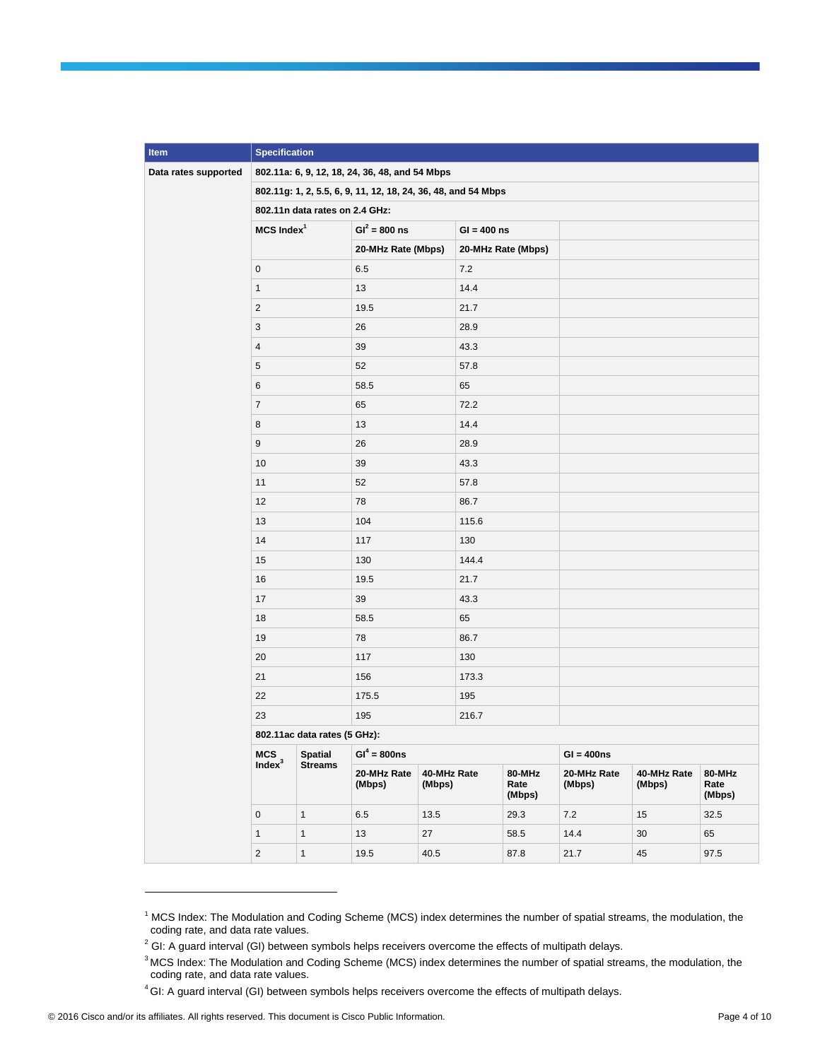| <b>Item</b>          | <b>Specification</b>                                          |                |                       |                       |       |                          |                       |                       |                          |
|----------------------|---------------------------------------------------------------|----------------|-----------------------|-----------------------|-------|--------------------------|-----------------------|-----------------------|--------------------------|
| Data rates supported | 802.11a: 6, 9, 12, 18, 24, 36, 48, and 54 Mbps                |                |                       |                       |       |                          |                       |                       |                          |
|                      | 802.11g: 1, 2, 5.5, 6, 9, 11, 12, 18, 24, 36, 48, and 54 Mbps |                |                       |                       |       |                          |                       |                       |                          |
|                      | 802.11n data rates on 2.4 GHz:                                |                |                       |                       |       |                          |                       |                       |                          |
|                      | $MCS$ Index <sup>1</sup>                                      |                | $GI^2 = 800$ ns       | $GI = 400$ ns         |       |                          |                       |                       |                          |
|                      |                                                               |                | 20-MHz Rate (Mbps)    |                       |       | 20-MHz Rate (Mbps)       |                       |                       |                          |
|                      | $\mathbf 0$                                                   |                | 6.5                   |                       | 7.2   |                          |                       |                       |                          |
|                      | $\mathbf{1}$                                                  |                | 13                    |                       | 14.4  |                          |                       |                       |                          |
|                      | $\overline{2}$                                                |                | 19.5                  |                       | 21.7  |                          |                       |                       |                          |
|                      | 3                                                             |                | 26                    |                       | 28.9  |                          |                       |                       |                          |
|                      | $\overline{4}$                                                |                | 39                    |                       | 43.3  |                          |                       |                       |                          |
|                      | $\sqrt{5}$                                                    |                | 52                    |                       | 57.8  |                          |                       |                       |                          |
|                      | 6                                                             |                | 58.5                  |                       | 65    |                          |                       |                       |                          |
|                      | $\overline{7}$                                                |                | 65                    |                       | 72.2  |                          |                       |                       |                          |
|                      | 8                                                             |                | 13                    |                       | 14.4  |                          |                       |                       |                          |
|                      | $\boldsymbol{9}$                                              |                | 26                    |                       | 28.9  |                          |                       |                       |                          |
|                      | 10                                                            |                | 39                    |                       | 43.3  |                          |                       |                       |                          |
|                      | 11                                                            |                | 52<br>57.8            |                       |       |                          |                       |                       |                          |
|                      | 12                                                            |                | 78<br>86.7            |                       |       |                          |                       |                       |                          |
|                      | 13                                                            |                | 104                   |                       | 115.6 |                          |                       |                       |                          |
|                      | 14                                                            |                | 117                   |                       | 130   |                          |                       |                       |                          |
|                      | 15                                                            |                | 130                   |                       | 144.4 |                          |                       |                       |                          |
|                      | 16                                                            |                | 19.5                  |                       | 21.7  |                          |                       |                       |                          |
|                      | 17                                                            |                | 39                    |                       | 43.3  |                          |                       |                       |                          |
|                      | 18                                                            |                | 58.5                  |                       | 65    |                          |                       |                       |                          |
|                      | 19                                                            |                | 78                    |                       | 86.7  |                          |                       |                       |                          |
|                      | 20                                                            |                | 117                   |                       | 130   |                          |                       |                       |                          |
|                      | 21                                                            |                | 156                   |                       | 173.3 |                          |                       |                       |                          |
|                      | 22                                                            |                | 175.5                 | 195                   |       |                          |                       |                       |                          |
|                      | 23                                                            |                | 195<br>216.7          |                       |       |                          |                       |                       |                          |
|                      | 802.11ac data rates (5 GHz):                                  |                |                       |                       |       |                          |                       |                       |                          |
|                      | <b>MCS</b>                                                    | <b>Spatial</b> | $GI^4 = 800ns$        |                       |       |                          | $GI = 400ns$          |                       |                          |
|                      | Index <sup>3</sup>                                            | <b>Streams</b> | 20-MHz Rate<br>(Mbps) | 40-MHz Rate<br>(Mbps) |       | 80-MHz<br>Rate<br>(Mbps) | 20-MHz Rate<br>(Mbps) | 40-MHz Rate<br>(Mbps) | 80-MHz<br>Rate<br>(Mbps) |
|                      | $\mathsf{O}\xspace$                                           | $\mathbf{1}$   | 6.5                   | 13.5                  |       | 29.3                     | 7.2                   | 15                    | 32.5                     |
|                      | $\mathbf{1}$                                                  | $\mathbf{1}$   | 13                    | 27                    |       | 58.5                     | 14.4                  | 30                    | 65                       |
|                      | $\overline{c}$                                                | $\mathbf{1}$   | 19.5                  | 40.5                  |       | 87.8                     | 21.7                  | 45                    | 97.5                     |

 $1$  MCS Index: The Modulation and Coding Scheme (MCS) index determines the number of spatial streams, the modulation, the coding rate, and data rate values.

l

 $2$  GI: A guard interval (GI) between symbols helps receivers overcome the effects of multipath delays.

<sup>&</sup>lt;sup>3</sup> MCS Index: The Modulation and Coding Scheme (MCS) index determines the number of spatial streams, the modulation, the coding rate, and data rate values.

<sup>&</sup>lt;sup>4</sup> GI: A guard interval (GI) between symbols helps receivers overcome the effects of multipath delays.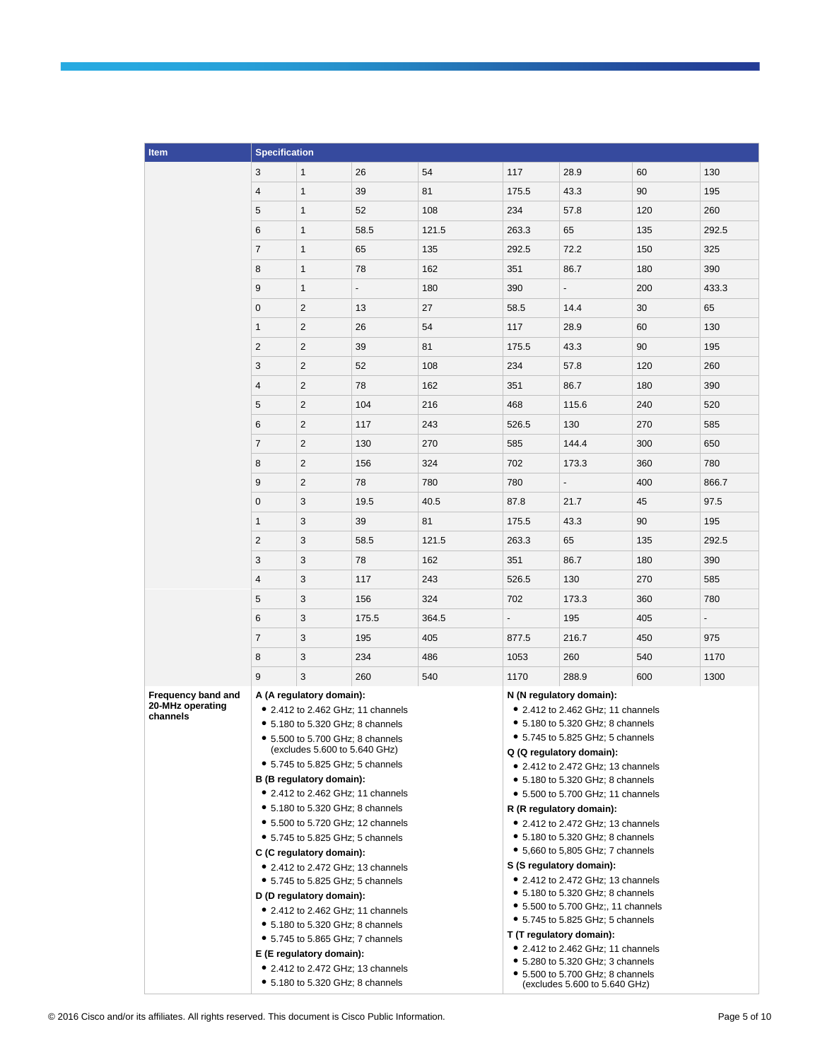| 3<br>1<br>26<br>54<br>117<br>28.9<br>60<br>4<br>39<br>81<br>1<br>175.5<br>43.3<br>90<br>5<br>1<br>52<br>108<br>234<br>57.8<br>120<br>6<br>58.5<br>121.5<br>1<br>263.3<br>65<br>135<br>$\overline{7}$<br>135<br>292.5<br>1<br>65<br>72.2<br>150<br>8<br>78<br>1<br>162<br>351<br>86.7<br>180<br>9<br>$\mathbf{1}$<br>180<br>390<br>200<br>$\overline{\phantom{0}}$<br>0<br>$\overline{c}$<br>30<br>13<br>27<br>58.5<br>14.4<br>1<br>2<br>26<br>54<br>117<br>28.9<br>60<br>$\overline{2}$<br>$\overline{2}$<br>81<br>90<br>39<br>175.5<br>43.3<br>3<br>$\overline{2}$<br>52<br>108<br>234<br>57.8<br>120<br>4<br>$\overline{c}$<br>78<br>162<br>351<br>86.7<br>180<br>$\sqrt{2}$<br>5<br>104<br>216<br>468<br>240<br>115.6<br>6<br>2<br>117<br>243<br>526.5<br>130<br>270<br>$\overline{c}$<br>7<br>130<br>270<br>585<br>144.4<br>300<br>8<br>$\overline{2}$<br>156<br>324<br>702<br>360<br>173.3<br>9<br>$\overline{2}$<br>780<br>78<br>780<br>400<br>$\mathbf 0$<br>3<br>19.5<br>40.5<br>87.8<br>21.7<br>45<br>$\mathbf{1}$<br>3<br>39<br>90<br>81<br>175.5<br>43.3<br>$\overline{2}$<br>3<br>58.5<br>121.5<br>263.3<br>65<br>135<br>3<br>3<br>78<br>162<br>351<br>86.7<br>180<br>$\overline{4}$<br>3<br>117<br>243<br>270<br>526.5<br>130<br>5<br>3<br>324<br>156<br>702<br>173.3<br>360<br>6<br>3<br>175.5<br>364.5<br>195<br>405<br>$\overline{7}$<br>3<br>195<br>405<br>450<br>877.5<br>216.7<br>8<br>3<br>234<br>486<br>1053<br>260<br>540<br>3<br>9<br>260<br>540<br>1170<br>288.9<br>600<br>Frequency band and<br>A (A regulatory domain):<br>N (N regulatory domain):<br>20-MHz operating<br>• 2.412 to 2.462 GHz; 11 channels<br>• 2.412 to 2.462 GHz; 11 channels<br>channels<br>• 5.180 to 5.320 GHz; 8 channels<br>• 5.180 to 5.320 GHz; 8 channels<br>• 5.745 to 5.825 GHz; 5 channels<br>• 5.500 to 5.700 GHz; 8 channels |       |
|-----------------------------------------------------------------------------------------------------------------------------------------------------------------------------------------------------------------------------------------------------------------------------------------------------------------------------------------------------------------------------------------------------------------------------------------------------------------------------------------------------------------------------------------------------------------------------------------------------------------------------------------------------------------------------------------------------------------------------------------------------------------------------------------------------------------------------------------------------------------------------------------------------------------------------------------------------------------------------------------------------------------------------------------------------------------------------------------------------------------------------------------------------------------------------------------------------------------------------------------------------------------------------------------------------------------------------------------------------------------------------------------------------------------------------------------------------------------------------------------------------------------------------------------------------------------------------------------------------------------------------------------------------------------------------------------------------------------------------------------------------------------------------------------------------------------------------------------|-------|
|                                                                                                                                                                                                                                                                                                                                                                                                                                                                                                                                                                                                                                                                                                                                                                                                                                                                                                                                                                                                                                                                                                                                                                                                                                                                                                                                                                                                                                                                                                                                                                                                                                                                                                                                                                                                                                         | 130   |
|                                                                                                                                                                                                                                                                                                                                                                                                                                                                                                                                                                                                                                                                                                                                                                                                                                                                                                                                                                                                                                                                                                                                                                                                                                                                                                                                                                                                                                                                                                                                                                                                                                                                                                                                                                                                                                         | 195   |
|                                                                                                                                                                                                                                                                                                                                                                                                                                                                                                                                                                                                                                                                                                                                                                                                                                                                                                                                                                                                                                                                                                                                                                                                                                                                                                                                                                                                                                                                                                                                                                                                                                                                                                                                                                                                                                         | 260   |
|                                                                                                                                                                                                                                                                                                                                                                                                                                                                                                                                                                                                                                                                                                                                                                                                                                                                                                                                                                                                                                                                                                                                                                                                                                                                                                                                                                                                                                                                                                                                                                                                                                                                                                                                                                                                                                         | 292.5 |
|                                                                                                                                                                                                                                                                                                                                                                                                                                                                                                                                                                                                                                                                                                                                                                                                                                                                                                                                                                                                                                                                                                                                                                                                                                                                                                                                                                                                                                                                                                                                                                                                                                                                                                                                                                                                                                         | 325   |
|                                                                                                                                                                                                                                                                                                                                                                                                                                                                                                                                                                                                                                                                                                                                                                                                                                                                                                                                                                                                                                                                                                                                                                                                                                                                                                                                                                                                                                                                                                                                                                                                                                                                                                                                                                                                                                         | 390   |
|                                                                                                                                                                                                                                                                                                                                                                                                                                                                                                                                                                                                                                                                                                                                                                                                                                                                                                                                                                                                                                                                                                                                                                                                                                                                                                                                                                                                                                                                                                                                                                                                                                                                                                                                                                                                                                         | 433.3 |
|                                                                                                                                                                                                                                                                                                                                                                                                                                                                                                                                                                                                                                                                                                                                                                                                                                                                                                                                                                                                                                                                                                                                                                                                                                                                                                                                                                                                                                                                                                                                                                                                                                                                                                                                                                                                                                         | 65    |
|                                                                                                                                                                                                                                                                                                                                                                                                                                                                                                                                                                                                                                                                                                                                                                                                                                                                                                                                                                                                                                                                                                                                                                                                                                                                                                                                                                                                                                                                                                                                                                                                                                                                                                                                                                                                                                         | 130   |
|                                                                                                                                                                                                                                                                                                                                                                                                                                                                                                                                                                                                                                                                                                                                                                                                                                                                                                                                                                                                                                                                                                                                                                                                                                                                                                                                                                                                                                                                                                                                                                                                                                                                                                                                                                                                                                         | 195   |
|                                                                                                                                                                                                                                                                                                                                                                                                                                                                                                                                                                                                                                                                                                                                                                                                                                                                                                                                                                                                                                                                                                                                                                                                                                                                                                                                                                                                                                                                                                                                                                                                                                                                                                                                                                                                                                         | 260   |
|                                                                                                                                                                                                                                                                                                                                                                                                                                                                                                                                                                                                                                                                                                                                                                                                                                                                                                                                                                                                                                                                                                                                                                                                                                                                                                                                                                                                                                                                                                                                                                                                                                                                                                                                                                                                                                         | 390   |
|                                                                                                                                                                                                                                                                                                                                                                                                                                                                                                                                                                                                                                                                                                                                                                                                                                                                                                                                                                                                                                                                                                                                                                                                                                                                                                                                                                                                                                                                                                                                                                                                                                                                                                                                                                                                                                         | 520   |
|                                                                                                                                                                                                                                                                                                                                                                                                                                                                                                                                                                                                                                                                                                                                                                                                                                                                                                                                                                                                                                                                                                                                                                                                                                                                                                                                                                                                                                                                                                                                                                                                                                                                                                                                                                                                                                         | 585   |
|                                                                                                                                                                                                                                                                                                                                                                                                                                                                                                                                                                                                                                                                                                                                                                                                                                                                                                                                                                                                                                                                                                                                                                                                                                                                                                                                                                                                                                                                                                                                                                                                                                                                                                                                                                                                                                         | 650   |
|                                                                                                                                                                                                                                                                                                                                                                                                                                                                                                                                                                                                                                                                                                                                                                                                                                                                                                                                                                                                                                                                                                                                                                                                                                                                                                                                                                                                                                                                                                                                                                                                                                                                                                                                                                                                                                         | 780   |
|                                                                                                                                                                                                                                                                                                                                                                                                                                                                                                                                                                                                                                                                                                                                                                                                                                                                                                                                                                                                                                                                                                                                                                                                                                                                                                                                                                                                                                                                                                                                                                                                                                                                                                                                                                                                                                         | 866.7 |
|                                                                                                                                                                                                                                                                                                                                                                                                                                                                                                                                                                                                                                                                                                                                                                                                                                                                                                                                                                                                                                                                                                                                                                                                                                                                                                                                                                                                                                                                                                                                                                                                                                                                                                                                                                                                                                         | 97.5  |
|                                                                                                                                                                                                                                                                                                                                                                                                                                                                                                                                                                                                                                                                                                                                                                                                                                                                                                                                                                                                                                                                                                                                                                                                                                                                                                                                                                                                                                                                                                                                                                                                                                                                                                                                                                                                                                         | 195   |
|                                                                                                                                                                                                                                                                                                                                                                                                                                                                                                                                                                                                                                                                                                                                                                                                                                                                                                                                                                                                                                                                                                                                                                                                                                                                                                                                                                                                                                                                                                                                                                                                                                                                                                                                                                                                                                         | 292.5 |
|                                                                                                                                                                                                                                                                                                                                                                                                                                                                                                                                                                                                                                                                                                                                                                                                                                                                                                                                                                                                                                                                                                                                                                                                                                                                                                                                                                                                                                                                                                                                                                                                                                                                                                                                                                                                                                         | 390   |
|                                                                                                                                                                                                                                                                                                                                                                                                                                                                                                                                                                                                                                                                                                                                                                                                                                                                                                                                                                                                                                                                                                                                                                                                                                                                                                                                                                                                                                                                                                                                                                                                                                                                                                                                                                                                                                         | 585   |
|                                                                                                                                                                                                                                                                                                                                                                                                                                                                                                                                                                                                                                                                                                                                                                                                                                                                                                                                                                                                                                                                                                                                                                                                                                                                                                                                                                                                                                                                                                                                                                                                                                                                                                                                                                                                                                         | 780   |
|                                                                                                                                                                                                                                                                                                                                                                                                                                                                                                                                                                                                                                                                                                                                                                                                                                                                                                                                                                                                                                                                                                                                                                                                                                                                                                                                                                                                                                                                                                                                                                                                                                                                                                                                                                                                                                         |       |
|                                                                                                                                                                                                                                                                                                                                                                                                                                                                                                                                                                                                                                                                                                                                                                                                                                                                                                                                                                                                                                                                                                                                                                                                                                                                                                                                                                                                                                                                                                                                                                                                                                                                                                                                                                                                                                         | 975   |
|                                                                                                                                                                                                                                                                                                                                                                                                                                                                                                                                                                                                                                                                                                                                                                                                                                                                                                                                                                                                                                                                                                                                                                                                                                                                                                                                                                                                                                                                                                                                                                                                                                                                                                                                                                                                                                         | 1170  |
|                                                                                                                                                                                                                                                                                                                                                                                                                                                                                                                                                                                                                                                                                                                                                                                                                                                                                                                                                                                                                                                                                                                                                                                                                                                                                                                                                                                                                                                                                                                                                                                                                                                                                                                                                                                                                                         | 1300  |
| (excludes 5.600 to 5.640 GHz)<br>Q (Q regulatory domain):<br>• 5.745 to 5.825 GHz; 5 channels<br>• 2.412 to 2.472 GHz; 13 channels<br>B (B regulatory domain):<br>$\bullet$ 5.180 to 5.320 GHz; 8 channels<br>• 2.412 to 2.462 GHz; 11 channels<br>• 5.500 to 5.700 GHz; 11 channels<br>• 5.180 to 5.320 GHz; 8 channels<br>R (R regulatory domain):<br>• 5.500 to 5.720 GHz; 12 channels<br>• 2.412 to 2.472 GHz; 13 channels<br>• 5.180 to 5.320 GHz; 8 channels<br>• 5.745 to 5.825 GHz; 5 channels<br>• 5,660 to 5,805 GHz; 7 channels<br>C (C regulatory domain):<br>S (S regulatory domain):<br>• 2.412 to 2.472 GHz; 13 channels<br>• 2.412 to 2.472 GHz; 13 channels<br>• 5.745 to 5.825 GHz; 5 channels<br>• 5.180 to 5.320 GHz; 8 channels<br>D (D regulatory domain):<br>• 5.500 to 5.700 GHz;, 11 channels<br>• 2.412 to 2.462 GHz; 11 channels<br>$\bullet$ 5.745 to 5.825 GHz; 5 channels<br>• 5.180 to 5.320 GHz; 8 channels<br>T (T regulatory domain):<br>• 5.745 to 5.865 GHz; 7 channels<br>$\bullet$ 2.412 to 2.462 GHz; 11 channels<br>E (E regulatory domain):<br>• 5.280 to 5.320 GHz; 3 channels<br>• 2.412 to 2.472 GHz; 13 channels                                                                                                                                                                                                                                                                                                                                                                                                                                                                                                                                                                                                                                                                           |       |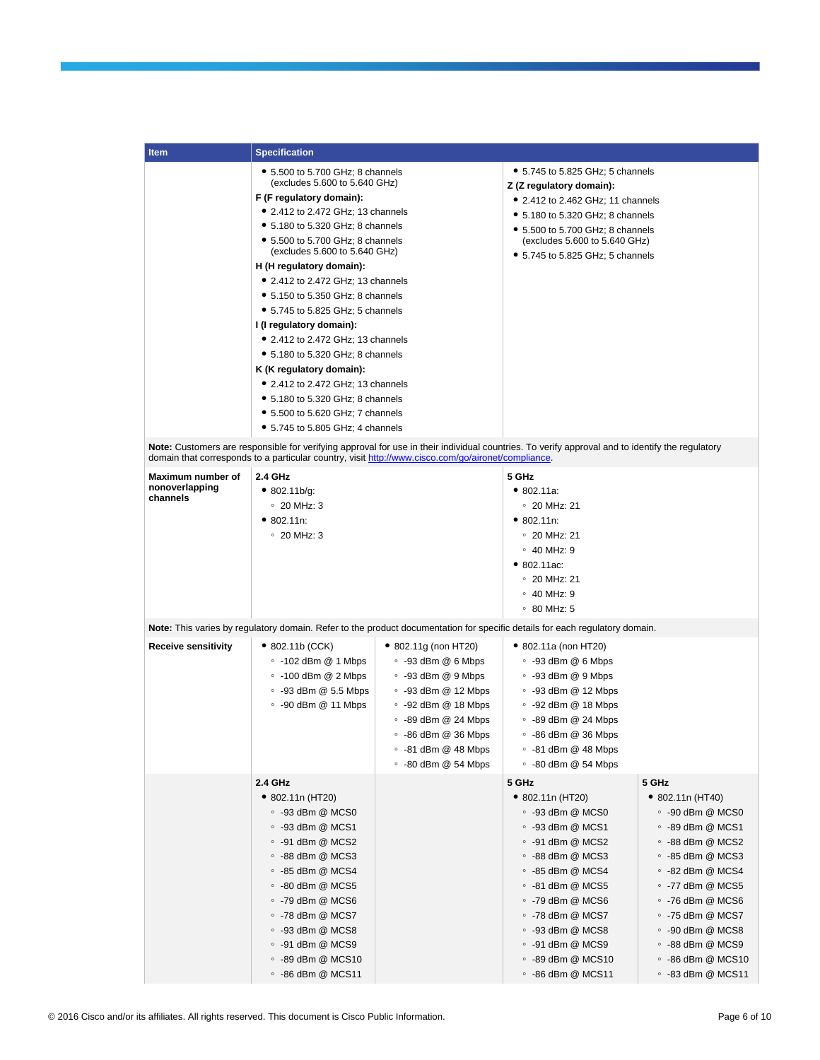| Item                       | <b>Specification</b>                                              |                                                                                                    |                                                                                                                                                 |                           |  |  |
|----------------------------|-------------------------------------------------------------------|----------------------------------------------------------------------------------------------------|-------------------------------------------------------------------------------------------------------------------------------------------------|---------------------------|--|--|
|                            | • 5.500 to 5.700 GHz; 8 channels                                  |                                                                                                    | $\bullet$ 5.745 to 5.825 GHz; 5 channels                                                                                                        |                           |  |  |
|                            | (excludes 5.600 to 5.640 GHz)                                     |                                                                                                    | Z (Z regulatory domain):                                                                                                                        |                           |  |  |
|                            | F (F regulatory domain):                                          |                                                                                                    | • 2.412 to 2.462 GHz; 11 channels                                                                                                               |                           |  |  |
|                            | • 2.412 to 2.472 GHz: 13 channels                                 |                                                                                                    | $\bullet$ 5.180 to 5.320 GHz; 8 channels                                                                                                        |                           |  |  |
|                            | • 5.180 to 5.320 GHz; 8 channels                                  |                                                                                                    | $\bullet$ 5.500 to 5.700 GHz; 8 channels                                                                                                        |                           |  |  |
|                            | • 5.500 to 5.700 GHz; 8 channels<br>(excludes 5.600 to 5.640 GHz) |                                                                                                    | (excludes 5.600 to 5.640 GHz)                                                                                                                   |                           |  |  |
|                            | H (H regulatory domain):                                          |                                                                                                    | • 5.745 to 5.825 GHz; 5 channels                                                                                                                |                           |  |  |
|                            | • 2.412 to 2.472 GHz; 13 channels                                 |                                                                                                    |                                                                                                                                                 |                           |  |  |
|                            | • 5.150 to 5.350 GHz; 8 channels                                  |                                                                                                    |                                                                                                                                                 |                           |  |  |
|                            | • 5.745 to 5.825 GHz; 5 channels                                  |                                                                                                    |                                                                                                                                                 |                           |  |  |
|                            | I (I regulatory domain):                                          |                                                                                                    |                                                                                                                                                 |                           |  |  |
|                            | • 2.412 to 2.472 GHz; 13 channels                                 |                                                                                                    |                                                                                                                                                 |                           |  |  |
|                            | • 5.180 to 5.320 GHz; 8 channels                                  |                                                                                                    |                                                                                                                                                 |                           |  |  |
|                            | K (K regulatory domain):                                          |                                                                                                    |                                                                                                                                                 |                           |  |  |
|                            | • 2.412 to 2.472 GHz; 13 channels                                 |                                                                                                    |                                                                                                                                                 |                           |  |  |
|                            | • 5.180 to 5.320 GHz; 8 channels                                  |                                                                                                    |                                                                                                                                                 |                           |  |  |
|                            | • 5.500 to 5.620 GHz; 7 channels                                  |                                                                                                    |                                                                                                                                                 |                           |  |  |
|                            | • 5.745 to 5.805 GHz; 4 channels                                  |                                                                                                    |                                                                                                                                                 |                           |  |  |
|                            |                                                                   | domain that corresponds to a particular country, visit http://www.cisco.com/go/aironet/compliance. | Note: Customers are responsible for verifying approval for use in their individual countries. To verify approval and to identify the regulatory |                           |  |  |
| Maximum number of          | 2.4 GHz                                                           |                                                                                                    | 5 GHz                                                                                                                                           |                           |  |  |
| nonoverlapping             | • 802.11b/g:                                                      |                                                                                                    | • 802.11a.                                                                                                                                      |                           |  |  |
| channels                   | $\degree$ 20 MHz: 3                                               |                                                                                                    | $\degree$ 20 MHz: 21                                                                                                                            |                           |  |  |
|                            | • 802.11n:                                                        |                                                                                                    | • 802.11n:                                                                                                                                      |                           |  |  |
|                            | $\degree$ 20 MHz: 3                                               |                                                                                                    | $\degree$ 20 MHz: 21                                                                                                                            |                           |  |  |
|                            |                                                                   |                                                                                                    | $\circ$ 40 MHz: 9                                                                                                                               |                           |  |  |
|                            |                                                                   |                                                                                                    | • 802.11ac:                                                                                                                                     |                           |  |  |
|                            |                                                                   |                                                                                                    | $\degree$ 20 MHz: 21                                                                                                                            |                           |  |  |
|                            |                                                                   |                                                                                                    | $\circ$ 40 MHz: 9                                                                                                                               |                           |  |  |
|                            |                                                                   |                                                                                                    | $\degree$ 80 MHz: 5                                                                                                                             |                           |  |  |
|                            |                                                                   |                                                                                                    | Note: This varies by regulatory domain. Refer to the product documentation for specific details for each regulatory domain.                     |                           |  |  |
| <b>Receive sensitivity</b> | $\bullet$ 802.11b (CCK)                                           | • 802.11g (non HT20)                                                                               | • 802.11a (non HT20)                                                                                                                            |                           |  |  |
|                            | $\circ$ -102 dBm @ 1 Mbps                                         | $\degree$ -93 dBm @ 6 Mbps                                                                         | $\degree$ -93 dBm @ 6 Mbps                                                                                                                      |                           |  |  |
|                            | $\circ$ -100 dBm @ 2 Mbps                                         | $\circ$ -93 dBm @ 9 Mbps                                                                           | $\degree$ -93 dBm @ 9 Mbps                                                                                                                      |                           |  |  |
|                            | $\degree$ -93 dBm @ 5.5 Mbps                                      | $\degree$ -93 dBm @ 12 Mbps                                                                        | $\circ$ -93 dBm @ 12 Mbps                                                                                                                       |                           |  |  |
|                            | $\degree$ -90 dBm $@$ 11 Mbps                                     | $\degree$ -92 dBm @ 18 Mbps                                                                        | $\degree$ -92 dBm @ 18 Mbps                                                                                                                     |                           |  |  |
|                            |                                                                   | $\degree$ -89 dBm @ 24 Mbps                                                                        | $\circ$ -89 dBm @ 24 Mbps                                                                                                                       |                           |  |  |
|                            |                                                                   | $\degree$ -86 dBm @ 36 Mbps                                                                        | $\degree$ -86 dBm @ 36 Mbps                                                                                                                     |                           |  |  |
|                            |                                                                   | ∘ -81 dBm @ 48 Mbps                                                                                | $\degree$ -81 dBm @ 48 Mbps                                                                                                                     |                           |  |  |
|                            |                                                                   | $\degree$ -80 dBm @ 54 Mbps                                                                        | $\degree$ -80 dBm @ 54 Mbps                                                                                                                     |                           |  |  |
|                            | 2.4 GHz                                                           |                                                                                                    | 5 GHz                                                                                                                                           | 5 GHz                     |  |  |
|                            | $\bullet$ 802.11n (HT20)                                          |                                                                                                    | $\bullet$ 802.11n (HT20)                                                                                                                        | $\bullet$ 802.11n (HT40)  |  |  |
|                            | $\degree$ -93 dBm @ MCS0                                          |                                                                                                    | $\degree$ -93 dBm @ MCS0                                                                                                                        | $\degree$ -90 dBm @ MCS0  |  |  |
|                            | $\degree$ -93 dBm @ MCS1                                          |                                                                                                    | $\degree$ -93 dBm @ MCS1                                                                                                                        | $\degree$ -89 dBm @ MCS1  |  |  |
|                            | $\degree$ -91 dBm @ MCS2                                          |                                                                                                    | $\degree$ -91 dBm @ MCS2                                                                                                                        | $\degree$ -88 dBm @ MCS2  |  |  |
|                            | $\degree$ -88 dBm @ MCS3                                          |                                                                                                    | $\degree$ -88 dBm @ MCS3                                                                                                                        | $\degree$ -85 dBm @ MCS3  |  |  |
|                            | ∘ -85 dBm @ MCS4                                                  |                                                                                                    | $\degree$ -85 dBm @ MCS4                                                                                                                        | $\degree$ -82 dBm @ MCS4  |  |  |
|                            | $\degree$ -80 dBm @ MCS5                                          |                                                                                                    | $\degree$ -81 dBm @ MCS5                                                                                                                        | $\degree$ -77 dBm @ MCS5  |  |  |
|                            | $\degree$ -79 dBm @ MCS6                                          |                                                                                                    | $\degree$ -79 dBm @ MCS6                                                                                                                        | $\degree$ -76 dBm @ MCS6  |  |  |
|                            | $\circ$ -78 dBm @ MCS7                                            |                                                                                                    | $\circ$ -78 dBm @ MCS7                                                                                                                          | $\degree$ -75 dBm @ MCS7  |  |  |
|                            | $\degree$ -93 dBm @ MCS8                                          |                                                                                                    | $\degree$ -93 dBm @ MCS8                                                                                                                        | $\degree$ -90 dBm @ MCS8  |  |  |
|                            | $\degree$ -91 dBm @ MCS9                                          |                                                                                                    | $\degree$ -91 dBm @ MCS9                                                                                                                        | $\degree$ -88 dBm @ MCS9  |  |  |
|                            | $\degree$ -89 dBm @ MCS10                                         |                                                                                                    | ∘ -89 dBm @ MCS10                                                                                                                               | $\degree$ -86 dBm @ MCS10 |  |  |
|                            | $\degree$ -86 dBm @ MCS11                                         |                                                                                                    | $\degree$ -86 dBm @ MCS11                                                                                                                       | $\degree$ -83 dBm @ MCS11 |  |  |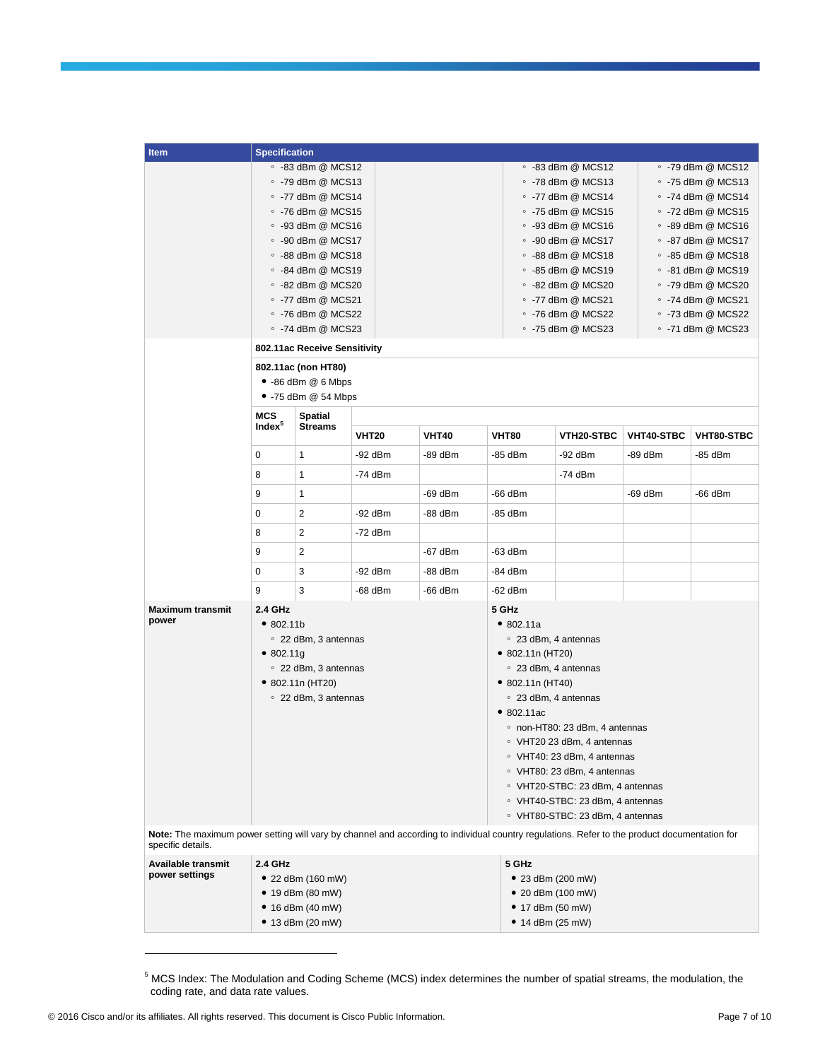|  | <b>Item</b>                                                                                                                                  | <b>Specification</b> |                                                      |              |              |                                                  |                                              |            |                                                        |
|--|----------------------------------------------------------------------------------------------------------------------------------------------|----------------------|------------------------------------------------------|--------------|--------------|--------------------------------------------------|----------------------------------------------|------------|--------------------------------------------------------|
|  |                                                                                                                                              |                      | ∘ -83 dBm @ MCS12                                    |              |              |                                                  | $\degree$ -83 dBm @ MCS12                    |            | ∘ -79 dBm @ MCS12                                      |
|  |                                                                                                                                              |                      | ∘ -79 dBm @ MCS13                                    |              |              |                                                  | ∘ -78 dBm @ MCS13                            |            | $\degree$ -75 dBm @ MCS13                              |
|  |                                                                                                                                              |                      | $\circ$ -77 dBm @ MCS14                              |              |              |                                                  | $\circ$ -77 dBm @ MCS14                      |            | $\degree$ -74 dBm @ MCS14                              |
|  |                                                                                                                                              |                      | $\degree$ -76 dBm @ MCS15                            |              |              |                                                  | $\circ$ -75 dBm @ MCS15                      |            | $\degree$ -72 dBm @ MCS15                              |
|  |                                                                                                                                              |                      | $\degree$ -93 dBm @ MCS16                            |              |              |                                                  | $\,\circ\,$ -93 dBm @ MCS16                  |            | $\degree$ -89 dBm @ MCS16                              |
|  |                                                                                                                                              |                      | $\degree$ -90 dBm @ MCS17                            |              |              |                                                  | $\degree$ -90 dBm @ MCS17                    |            | ∘ -87 dBm @ MCS17                                      |
|  |                                                                                                                                              |                      | $\degree$ -88 dBm @ MCS18                            |              |              |                                                  | $\degree$ -88 dBm @ MCS18                    |            | $\degree$ -85 dBm @ MCS18                              |
|  |                                                                                                                                              |                      | ∘ -84 dBm @ MCS19                                    |              |              |                                                  | ∘ -85 dBm @ MCS19                            |            | $\degree$ -81 dBm @ MCS19                              |
|  |                                                                                                                                              |                      | $\degree$ -82 dBm @ MCS20                            |              |              |                                                  | $\circ$ -82 dBm @ MCS20                      |            | ∘ -79 dBm @ MCS20                                      |
|  |                                                                                                                                              |                      | $\circ$ -77 dBm @ MCS21<br>$\degree$ -76 dBm @ MCS22 |              |              |                                                  | $\circ$ -77 dBm @ MCS21<br>∘ -76 dBm @ MCS22 |            | $\degree$ -74 dBm @ MCS21<br>$\degree$ -73 dBm @ MCS22 |
|  |                                                                                                                                              |                      | $\degree$ -74 dBm @ MCS23                            |              |              |                                                  | $\circ$ -75 dBm @ MCS23                      |            | $\degree$ -71 dBm @ MCS23                              |
|  |                                                                                                                                              |                      | 802.11ac Receive Sensitivity                         |              |              |                                                  |                                              |            |                                                        |
|  |                                                                                                                                              |                      | 802.11ac (non HT80)                                  |              |              |                                                  |                                              |            |                                                        |
|  |                                                                                                                                              |                      | $\bullet$ -86 dBm $@$ 6 Mbps                         |              |              |                                                  |                                              |            |                                                        |
|  |                                                                                                                                              |                      | $\bullet$ -75 dBm @ 54 Mbps                          |              |              |                                                  |                                              |            |                                                        |
|  |                                                                                                                                              | <b>MCS</b>           | Spatial                                              |              |              |                                                  |                                              |            |                                                        |
|  |                                                                                                                                              | Index <sup>5</sup>   | <b>Streams</b>                                       | <b>VHT20</b> | <b>VHT40</b> | <b>VHT80</b>                                     | <b>VTH20-STBC</b>                            | VHT40-STBC | VHT80-STBC                                             |
|  |                                                                                                                                              | 0                    | $\mathbf{1}$                                         | $-92$ dBm    | -89 dBm      | -85 dBm                                          | -92 dBm                                      | -89 dBm    | -85 dBm                                                |
|  |                                                                                                                                              | 8                    | 1                                                    | $-74$ dBm    |              |                                                  | $-74$ dBm                                    |            |                                                        |
|  |                                                                                                                                              | 9                    | 1                                                    |              | $-69$ dBm    | -66 dBm                                          |                                              | $-69$ dBm  | -66 dBm                                                |
|  |                                                                                                                                              | 0                    | $\overline{\mathbf{c}}$                              | $-92$ dBm    | -88 dBm      | -85 dBm                                          |                                              |            |                                                        |
|  |                                                                                                                                              | 8                    | $\overline{2}$                                       | $-72$ dBm    |              |                                                  |                                              |            |                                                        |
|  |                                                                                                                                              | 9                    | 2                                                    |              | -67 dBm      | -63 dBm                                          |                                              |            |                                                        |
|  |                                                                                                                                              | 0                    | 3                                                    | -92 dBm      | -88 dBm      | -84 dBm                                          |                                              |            |                                                        |
|  |                                                                                                                                              | 9                    | 3                                                    | -68 dBm      | -66 dBm      | -62 dBm                                          |                                              |            |                                                        |
|  | <b>Maximum transmit</b>                                                                                                                      | 2.4 GHz              |                                                      |              |              | 5 GHz                                            |                                              |            |                                                        |
|  | power                                                                                                                                        | •802.11b             |                                                      |              |              | • 802.11a                                        |                                              |            |                                                        |
|  |                                                                                                                                              | ∘ 22 dBm, 3 antennas |                                                      |              |              | ○ 23 dBm, 4 antennas                             |                                              |            |                                                        |
|  |                                                                                                                                              | • 802.11g            | ∘ 22 dBm, 3 antennas                                 |              |              | $\bullet$ 802.11n (HT20)<br>○ 23 dBm, 4 antennas |                                              |            |                                                        |
|  |                                                                                                                                              |                      | $\bullet$ 802.11n (HT20)                             |              |              | $\bullet$ 802.11n (HT40)                         |                                              |            |                                                        |
|  |                                                                                                                                              |                      | ○ 22 dBm, 3 antennas                                 |              |              |                                                  | ○ 23 dBm, 4 antennas                         |            |                                                        |
|  |                                                                                                                                              |                      |                                                      |              |              | •802.11ac                                        |                                              |            |                                                        |
|  |                                                                                                                                              |                      |                                                      |              |              | ∘ non-HT80: 23 dBm, 4 antennas                   |                                              |            |                                                        |
|  |                                                                                                                                              |                      |                                                      |              |              | ∘ VHT20 23 dBm, 4 antennas                       |                                              |            |                                                        |
|  |                                                                                                                                              |                      |                                                      |              |              | $\degree$ VHT40: 23 dBm, 4 antennas              |                                              |            |                                                        |
|  |                                                                                                                                              |                      |                                                      |              |              | ○ VHT80: 23 dBm, 4 antennas                      |                                              |            |                                                        |
|  |                                                                                                                                              |                      |                                                      |              |              |                                                  | © VHT20-STBC: 23 dBm, 4 antennas             |            |                                                        |
|  |                                                                                                                                              |                      |                                                      |              |              |                                                  | ○ VHT40-STBC: 23 dBm, 4 antennas             |            |                                                        |
|  | Note: The maximum power setting will vary by channel and according to individual country regulations. Refer to the product documentation for |                      |                                                      |              |              |                                                  | • VHT80-STBC: 23 dBm, 4 antennas             |            |                                                        |
|  | specific details.                                                                                                                            |                      |                                                      |              |              |                                                  |                                              |            |                                                        |
|  | Available transmit<br>power settings                                                                                                         | 2.4 GHz              |                                                      |              |              | 5 GHz                                            |                                              |            |                                                        |
|  |                                                                                                                                              |                      | • 22 dBm $(160 \text{ mV})$                          |              |              |                                                  | • 23 dBm (200 mW)                            |            |                                                        |
|  |                                                                                                                                              |                      | • 19 dBm $(80 \text{ mW})$                           |              |              |                                                  | • 20 dBm (100 mW)                            |            |                                                        |
|  |                                                                                                                                              |                      | • 16 dBm $(40 \text{ mW})$<br>• 13 dBm (20 mW)       |              |              | • 17 dBm (50 mW)<br>• 14 dBm $(25 mW)$           |                                              |            |                                                        |
|  |                                                                                                                                              |                      |                                                      |              |              |                                                  |                                              |            |                                                        |

 $^5$  MCS Index: The Modulation and Coding Scheme (MCS) index determines the number of spatial streams, the modulation, the coding rate, and data rate values.

 $\overline{\phantom{a}}$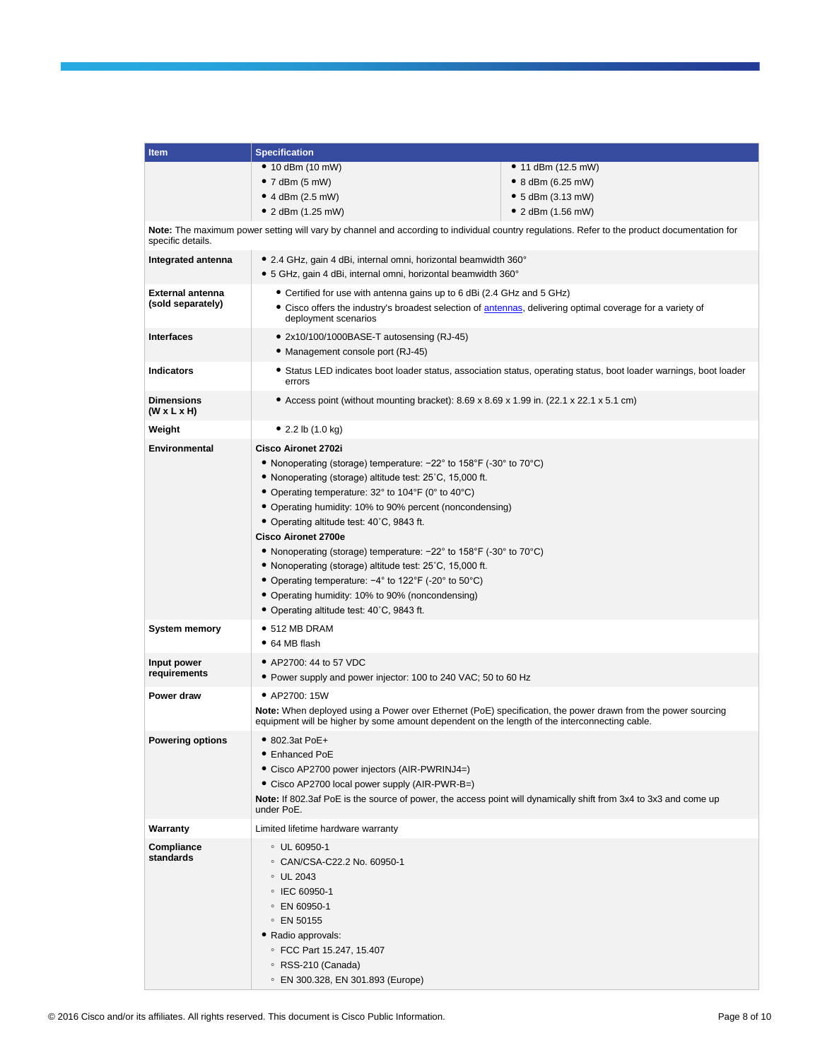| Item                                         | <b>Specification</b>                                                                                                                                                                                                                                                                                                                                                                                                                                                                                                                                                                                                                                              |                                                                                                                    |  |  |  |  |
|----------------------------------------------|-------------------------------------------------------------------------------------------------------------------------------------------------------------------------------------------------------------------------------------------------------------------------------------------------------------------------------------------------------------------------------------------------------------------------------------------------------------------------------------------------------------------------------------------------------------------------------------------------------------------------------------------------------------------|--------------------------------------------------------------------------------------------------------------------|--|--|--|--|
|                                              | • 10 dBm $(10 \text{ mW})$                                                                                                                                                                                                                                                                                                                                                                                                                                                                                                                                                                                                                                        | • 11 dBm $(12.5 \text{ mW})$                                                                                       |  |  |  |  |
|                                              | $\bullet$ 7 dBm (5 mW)                                                                                                                                                                                                                                                                                                                                                                                                                                                                                                                                                                                                                                            | • 8 dBm $(6.25 \text{ mV})$                                                                                        |  |  |  |  |
|                                              | • 4 dBm $(2.5 \text{ mW})$                                                                                                                                                                                                                                                                                                                                                                                                                                                                                                                                                                                                                                        | • $5$ dBm (3.13 mW)                                                                                                |  |  |  |  |
|                                              | • 2 dBm $(1.25 \text{ mV})$                                                                                                                                                                                                                                                                                                                                                                                                                                                                                                                                                                                                                                       | • 2 dBm $(1.56 \text{ mW})$                                                                                        |  |  |  |  |
| specific details.                            | Note: The maximum power setting will vary by channel and according to individual country regulations. Refer to the product documentation for                                                                                                                                                                                                                                                                                                                                                                                                                                                                                                                      |                                                                                                                    |  |  |  |  |
| Integrated antenna                           | • 2.4 GHz, gain 4 dBi, internal omni, horizontal beamwidth 360°<br>• 5 GHz, gain 4 dBi, internal omni, horizontal beamwidth 360°                                                                                                                                                                                                                                                                                                                                                                                                                                                                                                                                  |                                                                                                                    |  |  |  |  |
| <b>External antenna</b><br>(sold separately) | • Certified for use with antenna gains up to 6 dBi (2.4 GHz and 5 GHz)<br>• Cisco offers the industry's broadest selection of antennas, delivering optimal coverage for a variety of<br>deployment scenarios                                                                                                                                                                                                                                                                                                                                                                                                                                                      |                                                                                                                    |  |  |  |  |
| <b>Interfaces</b>                            | • 2x10/100/1000BASE-T autosensing (RJ-45)<br>• Management console port (RJ-45)                                                                                                                                                                                                                                                                                                                                                                                                                                                                                                                                                                                    |                                                                                                                    |  |  |  |  |
| <b>Indicators</b>                            | errors                                                                                                                                                                                                                                                                                                                                                                                                                                                                                                                                                                                                                                                            | • Status LED indicates boot loader status, association status, operating status, boot loader warnings, boot loader |  |  |  |  |
| <b>Dimensions</b><br>$(W \times L \times H)$ | • Access point (without mounting bracket): 8.69 x 8.69 x 1.99 in. (22.1 x 22.1 x 5.1 cm)                                                                                                                                                                                                                                                                                                                                                                                                                                                                                                                                                                          |                                                                                                                    |  |  |  |  |
| Weight                                       | • 2.2 lb $(1.0 \text{ kg})$                                                                                                                                                                                                                                                                                                                                                                                                                                                                                                                                                                                                                                       |                                                                                                                    |  |  |  |  |
| Environmental                                | Cisco Aironet 2702i<br>• Nonoperating (storage) temperature: $-22^{\circ}$ to 158°F (-30° to 70°C)<br>• Nonoperating (storage) altitude test: 25°C, 15,000 ft.<br>• Operating temperature: 32° to 104°F (0° to 40°C)<br>• Operating humidity: 10% to 90% percent (noncondensing)<br>• Operating altitude test: 40°C, 9843 ft.<br>Cisco Aironet 2700e<br>• Nonoperating (storage) temperature: $-22^{\circ}$ to 158°F (-30° to 70°C)<br>• Nonoperating (storage) altitude test: 25°C, 15,000 ft.<br>• Operating temperature: $-4^{\circ}$ to 122°F (-20° to 50°C)<br>• Operating humidity: 10% to 90% (noncondensing)<br>• Operating altitude test: 40°C, 9843 ft. |                                                                                                                    |  |  |  |  |
| System memory                                | • 512 MB DRAM<br>• 64 MB flash                                                                                                                                                                                                                                                                                                                                                                                                                                                                                                                                                                                                                                    |                                                                                                                    |  |  |  |  |
| Input power<br>requirements                  | • AP2700: 44 to 57 VDC<br>• Power supply and power injector: 100 to 240 VAC; 50 to 60 Hz                                                                                                                                                                                                                                                                                                                                                                                                                                                                                                                                                                          |                                                                                                                    |  |  |  |  |
| Power draw                                   | • AP2700: 15W<br>Note: When deployed using a Power over Ethernet (PoE) specification, the power drawn from the power sourcing<br>equipment will be higher by some amount dependent on the length of the interconnecting cable.                                                                                                                                                                                                                                                                                                                                                                                                                                    |                                                                                                                    |  |  |  |  |
| <b>Powering options</b>                      | • 802.3at PoE+<br>• Enhanced PoE<br>• Cisco AP2700 power injectors (AIR-PWRINJ4=)<br>• Cisco AP2700 local power supply (AIR-PWR-B=)<br>Note: If 802.3af PoE is the source of power, the access point will dynamically shift from 3x4 to 3x3 and come up<br>under PoE.                                                                                                                                                                                                                                                                                                                                                                                             |                                                                                                                    |  |  |  |  |
| Warranty                                     | Limited lifetime hardware warranty                                                                                                                                                                                                                                                                                                                                                                                                                                                                                                                                                                                                                                |                                                                                                                    |  |  |  |  |
| Compliance<br>standards                      | ○ UL 60950-1<br>© CAN/CSA-C22.2 No. 60950-1<br>$\circ$ UL 2043<br>○ IEC 60950-1<br>○ EN 60950-1<br>○ EN 50155<br>• Radio approvals:<br>© FCC Part 15.247, 15.407<br>∘ RSS-210 (Canada)<br>© EN 300.328, EN 301.893 (Europe)                                                                                                                                                                                                                                                                                                                                                                                                                                       |                                                                                                                    |  |  |  |  |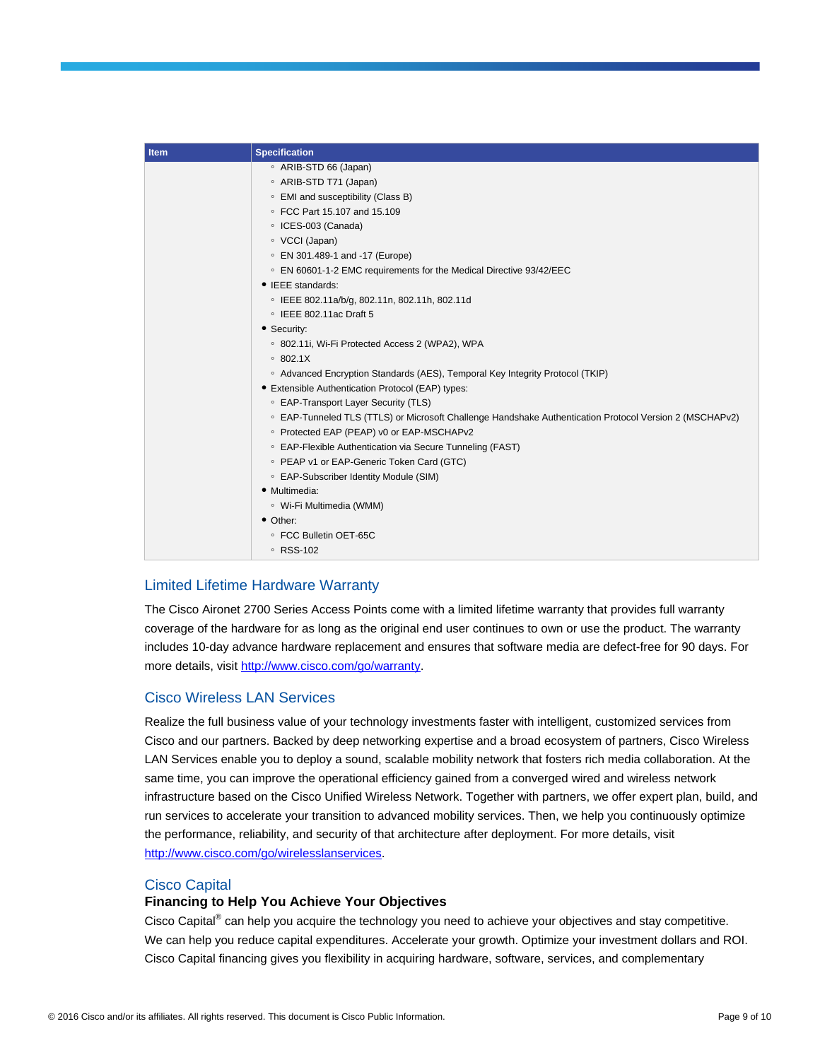| <b>Item</b> | <b>Specification</b>                                                                                    |
|-------------|---------------------------------------------------------------------------------------------------------|
|             | ◦ ARIB-STD 66 (Japan)                                                                                   |
|             | ◦ ARIB-STD T71 (Japan)                                                                                  |
|             | • EMI and susceptibility (Class B)                                                                      |
|             | © FCC Part 15.107 and 15.109                                                                            |
|             | ○ ICES-003 (Canada)                                                                                     |
|             | ∘ VCCI (Japan)                                                                                          |
|             | © EN 301.489-1 and -17 (Europe)                                                                         |
|             | © EN 60601-1-2 EMC requirements for the Medical Directive 93/42/EEC                                     |
|             | $\bullet$ IEEE standards:                                                                               |
|             | © IEEE 802.11a/b/g, 802.11n, 802.11h, 802.11d                                                           |
|             | $\circ$ IEEE 802.11ac Draft 5                                                                           |
|             | • Security:                                                                                             |
|             | <sup>o</sup> 802.11i, Wi-Fi Protected Access 2 (WPA2), WPA                                              |
|             | 0.802.1X                                                                                                |
|             | ○ Advanced Encryption Standards (AES), Temporal Key Integrity Protocol (TKIP)                           |
|             | • Extensible Authentication Protocol (EAP) types:                                                       |
|             | ○ EAP-Transport Layer Security (TLS)                                                                    |
|             | © EAP-Tunneled TLS (TTLS) or Microsoft Challenge Handshake Authentication Protocol Version 2 (MSCHAPv2) |
|             | ○ Protected EAP (PEAP) v0 or EAP-MSCHAPv2                                                               |
|             | ○ EAP-Flexible Authentication via Secure Tunneling (FAST)                                               |
|             | © PEAP v1 or EAP-Generic Token Card (GTC)                                                               |
|             | ○ EAP-Subscriber Identity Module (SIM)                                                                  |
|             | · Multimedia:                                                                                           |
|             | ∘ Wi-Fi Multimedia (WMM)                                                                                |
|             | • Other:                                                                                                |
|             | ○ FCC Bulletin OET-65C                                                                                  |
|             | ∘ RSS-102                                                                                               |

# Limited Lifetime Hardware Warranty

The Cisco Aironet 2700 Series Access Points come with a limited lifetime warranty that provides full warranty coverage of the hardware for as long as the original end user continues to own or use the product. The warranty includes 10-day advance hardware replacement and ensures that software media are defect-free for 90 days. For more details, visit [http://www.cisco.com/go/warranty.](http://www.cisco.com/go/warranty)

# Cisco Wireless LAN Services

Realize the full business value of your technology investments faster with intelligent, customized services from Cisco and our partners. Backed by deep networking expertise and a broad ecosystem of partners, Cisco Wireless LAN Services enable you to deploy a sound, scalable mobility network that fosters rich media collaboration. At the same time, you can improve the operational efficiency gained from a converged wired and wireless network infrastructure based on the Cisco Unified Wireless Network. Together with partners, we offer expert plan, build, and run services to accelerate your transition to advanced mobility services. Then, we help you continuously optimize the performance, reliability, and security of that architecture after deployment. For more details, visit [http://www.cisco.com/go/wirelesslanservices.](http://www.cisco.com/go/wirelesslanservices)

# Cisco Capital

### **Financing to Help You Achieve Your Objectives**

Cisco Capital® can help you acquire the technology you need to achieve your objectives and stay competitive. We can help you reduce capital expenditures. Accelerate your growth. Optimize your investment dollars and ROI. Cisco Capital financing gives you flexibility in acquiring hardware, software, services, and complementary